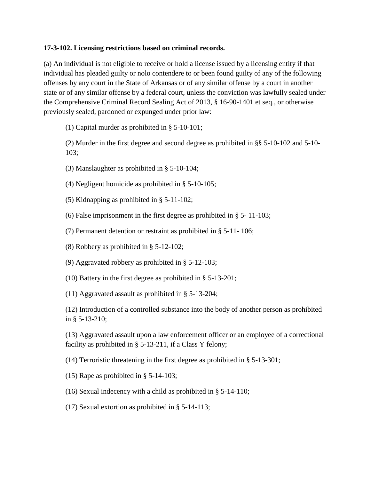## **17-3-102. Licensing restrictions based on criminal records.**

(a) An individual is not eligible to receive or hold a license issued by a licensing entity if that individual has pleaded guilty or nolo contendere to or been found guilty of any of the following offenses by any court in the State of Arkansas or of any similar offense by a court in another state or of any similar offense by a federal court, unless the conviction was lawfully sealed under the Comprehensive Criminal Record Sealing Act of 2013, § 16-90-1401 et seq., or otherwise previously sealed, pardoned or expunged under prior law:

(1) Capital murder as prohibited in § 5-10-101;

(2) Murder in the first degree and second degree as prohibited in §§ 5-10-102 and 5-10- 103;

- (3) Manslaughter as prohibited in § 5-10-104;
- (4) Negligent homicide as prohibited in § 5-10-105;
- (5) Kidnapping as prohibited in § 5-11-102;
- (6) False imprisonment in the first degree as prohibited in § 5- 11-103;
- (7) Permanent detention or restraint as prohibited in § 5-11- 106;
- (8) Robbery as prohibited in § 5-12-102;
- (9) Aggravated robbery as prohibited in § 5-12-103;
- (10) Battery in the first degree as prohibited in § 5-13-201;
- (11) Aggravated assault as prohibited in § 5-13-204;

(12) Introduction of a controlled substance into the body of another person as prohibited in § 5-13-210;

(13) Aggravated assault upon a law enforcement officer or an employee of a correctional facility as prohibited in § 5-13-211, if a Class Y felony;

(14) Terroristic threatening in the first degree as prohibited in § 5-13-301;

- (15) Rape as prohibited in § 5-14-103;
- (16) Sexual indecency with a child as prohibited in § 5-14-110;
- (17) Sexual extortion as prohibited in § 5-14-113;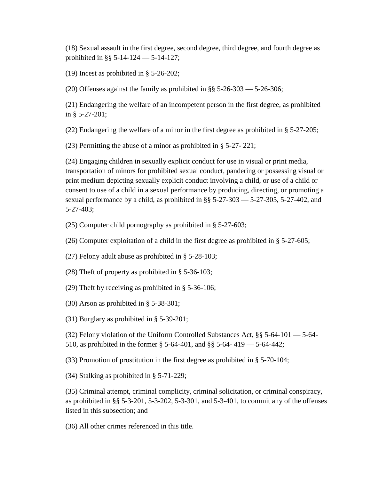(18) Sexual assault in the first degree, second degree, third degree, and fourth degree as prohibited in §§ 5-14-124 — 5-14-127;

(19) Incest as prohibited in § 5-26-202;

(20) Offenses against the family as prohibited in §§ 5-26-303 — 5-26-306;

(21) Endangering the welfare of an incompetent person in the first degree, as prohibited in § 5-27-201;

(22) Endangering the welfare of a minor in the first degree as prohibited in § 5-27-205;

(23) Permitting the abuse of a minor as prohibited in § 5-27- 221;

(24) Engaging children in sexually explicit conduct for use in visual or print media, transportation of minors for prohibited sexual conduct, pandering or possessing visual or print medium depicting sexually explicit conduct involving a child, or use of a child or consent to use of a child in a sexual performance by producing, directing, or promoting a sexual performance by a child, as prohibited in §§ 5-27-303 — 5-27-305, 5-27-402, and 5-27-403;

(25) Computer child pornography as prohibited in § 5-27-603;

(26) Computer exploitation of a child in the first degree as prohibited in § 5-27-605;

(27) Felony adult abuse as prohibited in § 5-28-103;

(28) Theft of property as prohibited in § 5-36-103;

(29) Theft by receiving as prohibited in § 5-36-106;

(30) Arson as prohibited in § 5-38-301;

(31) Burglary as prohibited in § 5-39-201;

(32) Felony violation of the Uniform Controlled Substances Act, §§ 5-64-101 — 5-64- 510, as prohibited in the former § 5-64-401, and §§ 5-64- 419 — 5-64-442;

(33) Promotion of prostitution in the first degree as prohibited in § 5-70-104;

(34) Stalking as prohibited in § 5-71-229;

(35) Criminal attempt, criminal complicity, criminal solicitation, or criminal conspiracy, as prohibited in §§ 5-3-201, 5-3-202, 5-3-301, and 5-3-401, to commit any of the offenses listed in this subsection; and

(36) All other crimes referenced in this title.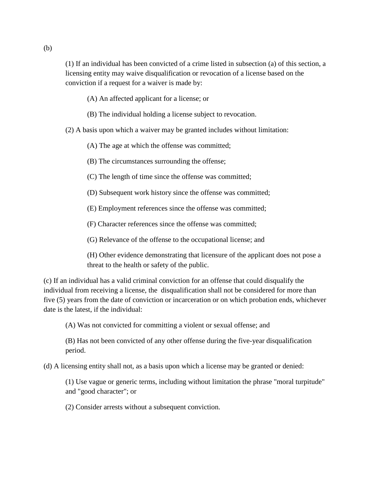(1) If an individual has been convicted of a crime listed in subsection (a) of this section, a licensing entity may waive disqualification or revocation of a license based on the conviction if a request for a waiver is made by:

- (A) An affected applicant for a license; or
- (B) The individual holding a license subject to revocation.

(2) A basis upon which a waiver may be granted includes without limitation:

(A) The age at which the offense was committed;

(B) The circumstances surrounding the offense;

(C) The length of time since the offense was committed;

(D) Subsequent work history since the offense was committed;

(E) Employment references since the offense was committed;

(F) Character references since the offense was committed;

(G) Relevance of the offense to the occupational license; and

(H) Other evidence demonstrating that licensure of the applicant does not pose a threat to the health or safety of the public.

(c) If an individual has a valid criminal conviction for an offense that could disqualify the individual from receiving a license, the disqualification shall not be considered for more than five (5) years from the date of conviction or incarceration or on which probation ends, whichever date is the latest, if the individual:

(A) Was not convicted for committing a violent or sexual offense; and

(B) Has not been convicted of any other offense during the five-year disqualification period.

(d) A licensing entity shall not, as a basis upon which a license may be granted or denied:

(1) Use vague or generic terms, including without limitation the phrase "moral turpitude" and "good character"; or

(2) Consider arrests without a subsequent conviction.

(b)